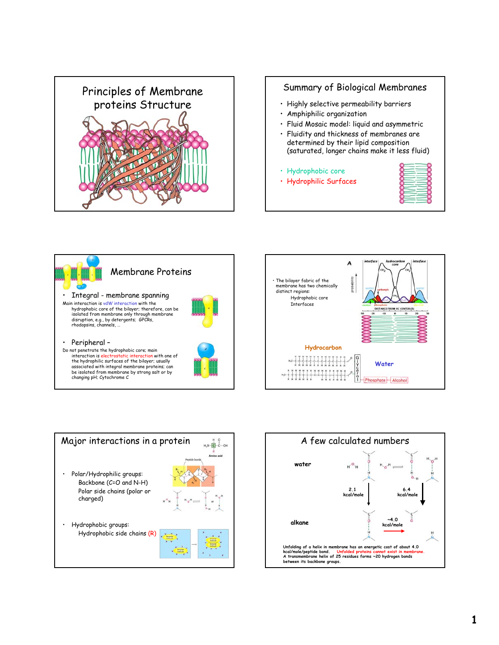

## Summary of Biological Membranes

- Highly selective permeability barriers
- Amphiphilic organization
- Fluid Mosaic model: liquid and asymmetric
- Fluidity and thickness of membranes are determined by their lipid composition (saturated, longer chains make it less fluid)
- Hydrophobic core
- Hydrophilic Surfaces









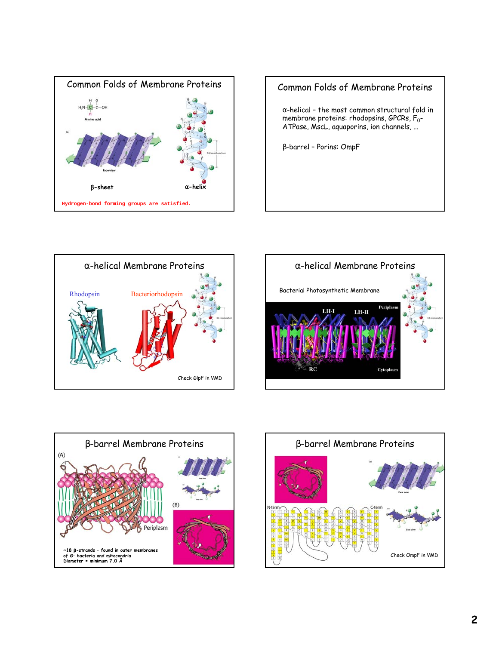









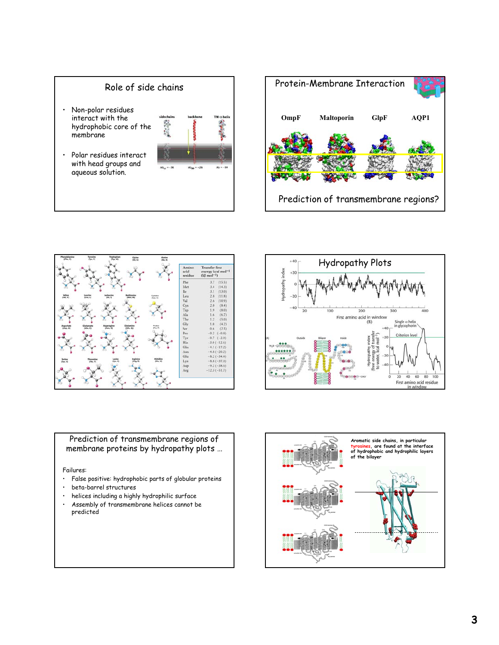







Prediction of transmembrane regions of membrane proteins by hydropathy plots …

Failures:

- False positive: hydrophobic parts of globular proteins
- beta-barrel structures
- helices including a highly hydrophilic surface
- Assembly of transmembrane helices cannot be predicted